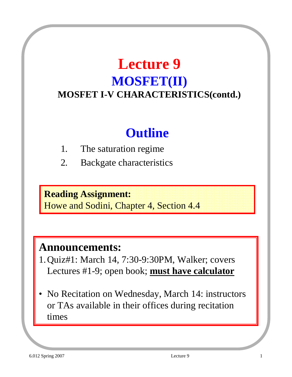# **Lecture 9 MOSFET(II) MOSFET I-V CHARACTERISTICS(contd.)**

# **Outline**

- 1. The saturation regime
- 2. Backgate characteristics

#### **Reading Assignment:**

Howe and Sodini, Chapter 4, Section 4.4

#### **Announcements:**

- 1. Quiz#1: March 14, 7:30-9:30PM, Walker; covers Lectures #1-9; open book; **must have calculator**
- No Recitation on Wednesday, March 14: instructors or TAs available in their offices during recitation times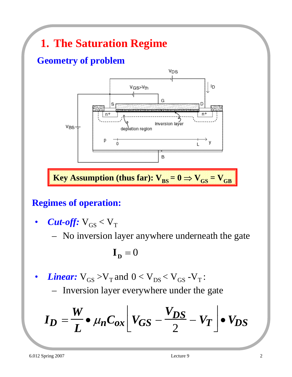# **1. The Saturation Regime**

### **Geometry of problem**



### **Regimes of operation:**

- *Cut-off:*  $V_{GS} < V_T$ 
	- No inversion layer anywhere underneath the gate

$$
\mathbf{I}_{\mathbf{D}}=0
$$

- *Linear:*  $V_{GS} > V_T$  and  $0 < V_{DS} < V_{GS}$  -V<sub>T</sub>:
	- Inversion layer everywhere under the gate

$$
I_D = \frac{W}{L} \bullet \mu_n C_{ox} \bigg[ V_{GS} - \frac{V_{DS}}{2} - V_T \bigg] \bullet V_{DS}
$$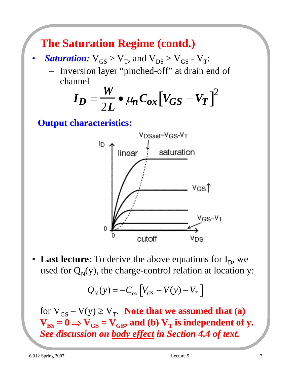# **The Saturation Regime (contd.)**

- *Saturation:*  $V_{GS} > V_T$ , and  $V_{DS} > V_{GS}$   $V_T$ :
	- Inversion layer "pinched-off" at drain end of channel

$$
I_D = \frac{W}{2L} \bullet \mu_n C_{ox} [V_{GS} - V_T]^2
$$

**Output characteristics:**



• Last lecture: To derive the above equations for  $I_D$ , we used for  $Q_N(y)$ , the charge-control relation at location y:

$$
Q_N(y) = -C_{ox} \left[ V_{GS} - V(y) - V_T \right]
$$

for  $V_{GS} - V(y) \ge V_T$ . **Note that we assumed that (a)**  $V_{BS} = 0 \Rightarrow V_{GS} = V_{GB}$ , and (b)  $V_T$  is independent of y. *See discussion on body effect in Section 4.4 of text.*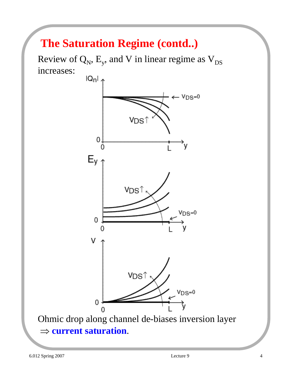# **The Saturation Regime (contd..)**

Review of  $Q_N$ ,  $E_y$ , and V in linear regime as  $V_{DS}$ increases:



Ohmic drop along channel de-biases inversion layer ⇒ **current saturation**.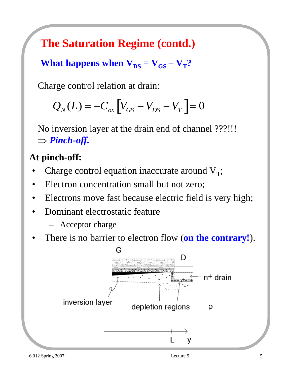**The Saturation Regime (contd.)**

**What happens when**  $V_{DS} = V_{GS} - V_T$ **?** 

Charge control relation at drain:

$$
Q_N(L) = -C_{ox} \left[ V_{GS} - V_{DS} - V_T \right] = 0
$$

No inversion layer at the drain end of channel ???!!! ⇒ *Pinch-off.*

### **At pinch-off:**

- Charge control equation inaccurate around  $V_T$ ;
- Electron concentration small but not zero;
- Electrons move fast because electric field is very high;
- Dominant electrostatic feature
	- Acceptor charge
- There is no barrier to electron flow (**on the contrary!**).

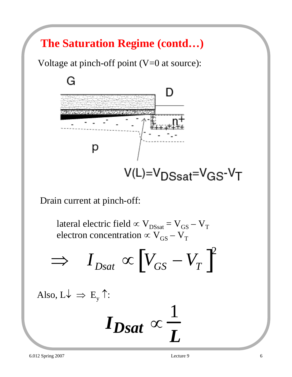# **The Saturation Regime (contd…)**

Voltage at pinch-off point (V=0 at source):



Drain current at pinch-off:

lateral electric field  $\propto$  V<sub>DSsat</sub> = V<sub>GS</sub> – V<sub>T</sub> electron concentration  $\propto$  V<sub>GS</sub> – V<sub>T</sub>

$$
\Rightarrow I_{Dsat} \propto [V_{GS} - V_T]^2
$$

Also,  $L \downarrow \Rightarrow E_v \uparrow$ :

$$
I_{Dsat}\propto\frac{1}{L}
$$

1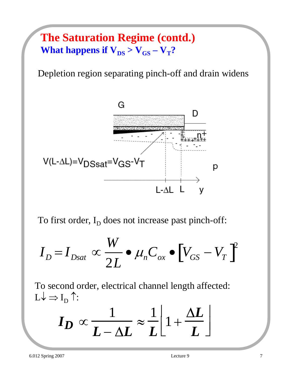## **The Saturation Regime (contd.) What happens if**  $V_{DS} > V_{GS} - V_T$ **?**

Depletion region separating pinch-off and drain widens



To first order,  $I_D$  does not increase past pinch-off:

$$
I_D = I_{Dsat} \propto \frac{W}{2L} \bullet \mu_n C_{ox} \bullet \left[ V_{GS} - V_T \right]^2
$$

To second order, electrical channel length affected:  $L\downarrow \Rightarrow I_D$  ↑:

$$
I_D \propto \frac{1}{L - \Delta L} \approx \frac{1}{L} \left[ 1 + \frac{\Delta L}{L} \right]
$$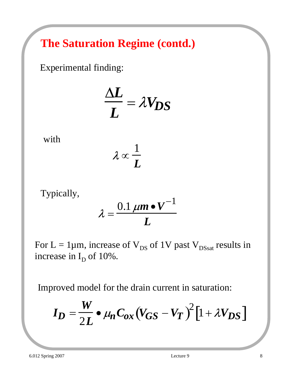# **The Saturation Regime (contd.)**

Experimental finding:

$$
\frac{\Delta L}{L} = \lambda V_{DS}
$$

with

$$
\boldsymbol{\lambda}\propto\!\frac{1}{\boldsymbol{L}}
$$

Typically,

$$
\lambda = \frac{0.1 \ \mu m \bullet V^{-1}}{L}
$$

For  $L = 1 \mu m$ , increase of  $V_{DS}$  of 1V past  $V_{DSsat}$  results in increase in  $I_D$  of 10%.

Improved model for the drain current in saturation:

$$
I_D = \frac{W}{2L} \bullet \mu_n C_{ox} (V_{GS} - V_T)^2 [1 + \lambda V_{DS}]
$$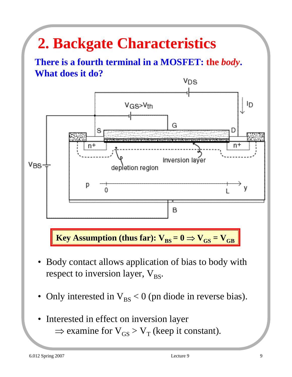# **2. Backgate Characteristics**

**There is a fourth terminal in a MOSFET: the** *body***. What does it do?**



**Key Assumption (thus far):**  $V_{BS} = 0 \Rightarrow V_{GS} = V_{GB}$ 

- Body contact allows application of bias to body with respect to inversion layer,  $V_{BS}$ .
- Only interested in  $V_{BS} < 0$  (pn diode in reverse bias).
- Interested in effect on inversion layer  $\Rightarrow$  examine for  $V_{GS} > V_T$  (keep it constant).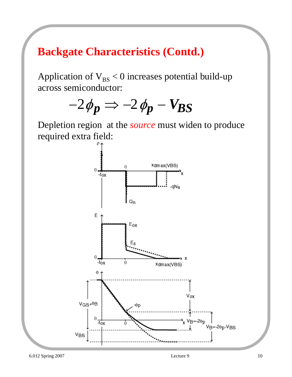Application of  $V_{BS}$  < 0 increases potential build-up across semiconductor:



Depletion region at the *source* must widen to produce required extra field:

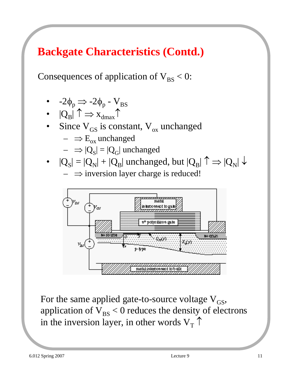Consequences of application of  $V_{BS} < 0$ :

- $-2\phi_p \Rightarrow -2\phi_p V_{BS}$
- $|Q_B| \uparrow \Rightarrow x_{dmax} \uparrow$
- Since  $V_{GS}$  is constant,  $V_{ox}$  unchanged
	- $\Rightarrow E_{ox}$  unchanged
	- $\implies |Q_S| = |Q_G|$  unchanged
- $|Q_{\rm S}| = |Q_{\rm N}| + |Q_{\rm B}|$  unchanged, but  $|Q_{\rm B}| \uparrow \Rightarrow |Q_{\rm N}| \downarrow$  $\Rightarrow$  inversion layer charge is reduced!



For the same applied gate-to-source voltage  $V_{GS}$ , application of  $V_{BS} < 0$  reduces the density of electrons in the inversion layer, in other words  $V<sub>T</sub>$   $\uparrow$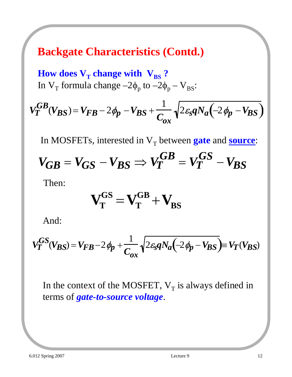**How does**  $V_T$  **change with**  $V_{BS}$ **?** In  $V_T$  formula change  $-2\phi_p$  to  $-2\phi_p - V_{BS}$ :

$$
V_T^{GB}(V_{BS}) = V_{FB} - 2\phi_p - V_{BS} + \frac{1}{C_{ox}}\sqrt{2\varepsilon_s q N_a \left(-2\phi_p - V_{BS}\right)}
$$

In MOSFETs, interested in  $V_T$  between **gate** and **source**:

$$
V_{GB} = V_{GS} - V_{BS} \Rightarrow V_T^{GB} = V_T^{GS} - V_{BS}
$$

Then:

$$
\mathbf{V}_{\mathrm{T}}^{\mathrm{GS}} = \mathbf{V}_{\mathrm{T}}^{\mathrm{GB}} + \mathbf{V}_{\mathrm{BS}}
$$

And:

$$
V_T^{GS}(V_{BS}) = V_{FB} - 2\phi_p + \frac{1}{C_{ox}}\sqrt{2\varepsilon_s q N_a \left(-2\phi_p - V_{BS}\right)} \equiv V_T(V_{BS})
$$

In the context of the MOSFET,  $V_T$  is always defined in terms of *gate-to-source voltage*.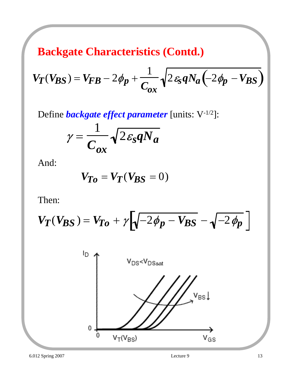$$
V_T(V_{BS}) = V_{FB} - 2\phi_p + \frac{1}{C_{ox}}\sqrt{2\epsilon_s q N_a \left(-2\phi_p - V_{BS}\right)}
$$

Define *backgate effect parameter* [units: V-1/2]:

$$
\gamma = \frac{1}{C_{ox}} \sqrt{2 \varepsilon_s q N_a}
$$

And:

$$
V_{To} = V_T(V_{BS} = 0)
$$

Then:

$$
V_T(V_{BS}) = V_{To} + \gamma \left[ \sqrt{-2\phi_p - V_{BS}} - \sqrt{-2\phi_p} \right]
$$

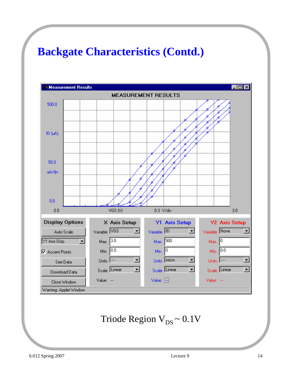

Triode Region  $V_{DS} \sim 0.1V$